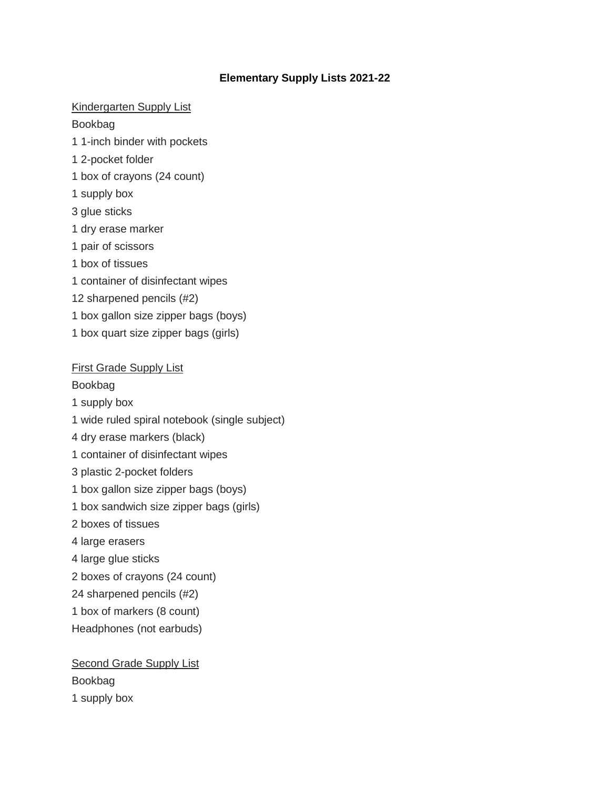# **Elementary Supply Lists 2021-22**

# Kindergarten Supply List

## Bookbag

- 1 1-inch binder with pockets
- 1 2-pocket folder
- 1 box of crayons (24 count)
- 1 supply box
- 3 glue sticks
- 1 dry erase marker
- 1 pair of scissors
- 1 box of tissues
- 1 container of disinfectant wipes
- 12 sharpened pencils (#2)
- 1 box gallon size zipper bags (boys)
- 1 box quart size zipper bags (girls)

#### First Grade Supply List

Bookbag

- 1 supply box
- 1 wide ruled spiral notebook (single subject)
- 4 dry erase markers (black)
- 1 container of disinfectant wipes
- 3 plastic 2-pocket folders
- 1 box gallon size zipper bags (boys)
- 1 box sandwich size zipper bags (girls)
- 2 boxes of tissues
- 4 large erasers
- 4 large glue sticks
- 2 boxes of crayons (24 count)
- 24 sharpened pencils (#2)
- 1 box of markers (8 count)
- Headphones (not earbuds)

# Second Grade Supply List Bookbag 1 supply box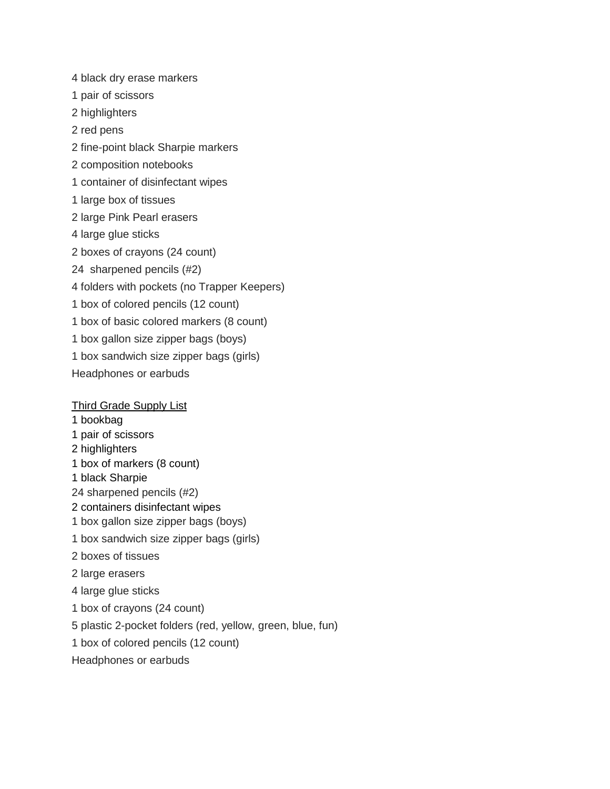4 black dry erase markers 1 pair of scissors 2 highlighters 2 red pens 2 fine-point black Sharpie markers 2 composition notebooks 1 container of disinfectant wipes 1 large box of tissues 2 large Pink Pearl erasers 4 large glue sticks 2 boxes of crayons (24 count) 24 sharpened pencils (#2) 4 folders with pockets (no Trapper Keepers) 1 box of colored pencils (12 count) 1 box of basic colored markers (8 count) 1 box gallon size zipper bags (boys) 1 box sandwich size zipper bags (girls) Headphones or earbuds

## Third Grade Supply List

- 1 bookbag
- 1 pair of scissors
- 2 highlighters
- 1 box of markers (8 count)
- 1 black Sharpie
- 24 sharpened pencils (#2)
- 2 containers disinfectant wipes
- 1 box gallon size zipper bags (boys)
- 1 box sandwich size zipper bags (girls)
- 2 boxes of tissues
- 2 large erasers
- 4 large glue sticks
- 1 box of crayons (24 count)
- 5 plastic 2-pocket folders (red, yellow, green, blue, fun)
- 1 box of colored pencils (12 count)
- Headphones or earbuds